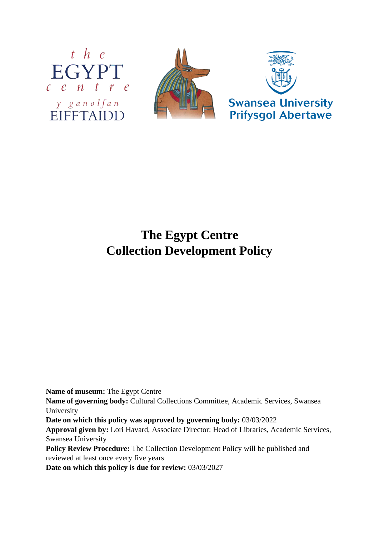



# **The Egypt Centre Collection Development Policy**

**Name of museum:** The Egypt Centre

**Name of governing body:** Cultural Collections Committee, Academic Services, Swansea University

**Date on which this policy was approved by governing body:** 03/03/2022

**Approval given by:** Lori Havard, Associate Director: Head of Libraries, Academic Services, Swansea University

**Policy Review Procedure:** The Collection Development Policy will be published and reviewed at least once every five years

**Date on which this policy is due for review:** 03/03/2027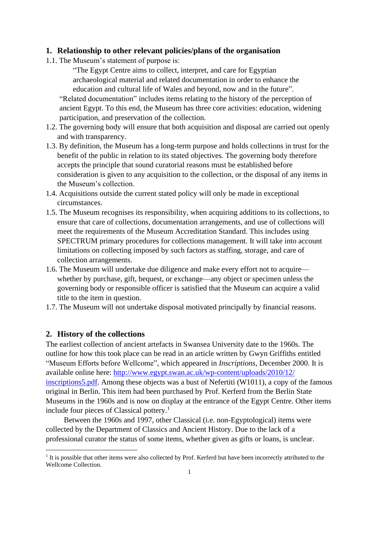#### **1. Relationship to other relevant policies/plans of the organisation**

1.1. The Museum's statement of purpose is:

"The Egypt Centre aims to collect, interpret, and care for Egyptian archaeological material and related documentation in order to enhance the education and cultural life of Wales and beyond, now and in the future".

"Related documentation" includes items relating to the history of the perception of ancient Egypt. To this end, the Museum has three core activities: education, widening participation, and preservation of the collection.

- 1.2. The governing body will ensure that both acquisition and disposal are carried out openly and with transparency.
- 1.3. By definition, the Museum has a long-term purpose and holds collections in trust for the benefit of the public in relation to its stated objectives. The governing body therefore accepts the principle that sound curatorial reasons must be established before consideration is given to any acquisition to the collection, or the disposal of any items in the Museum's collection.
- 1.4. Acquisitions outside the current stated policy will only be made in exceptional circumstances.
- 1.5. The Museum recognises its responsibility, when acquiring additions to its collections, to ensure that care of collections, documentation arrangements, and use of collections will meet the requirements of the Museum Accreditation Standard. This includes using SPECTRUM primary procedures for collections management. It will take into account limitations on collecting imposed by such factors as staffing, storage, and care of collection arrangements.
- 1.6. The Museum will undertake due diligence and make every effort not to acquire whether by purchase, gift, bequest, or exchange—any object or specimen unless the governing body or responsible officer is satisfied that the Museum can acquire a valid title to the item in question.
- 1.7. The Museum will not undertake disposal motivated principally by financial reasons.

# **2. History of the collections**

The earliest collection of ancient artefacts in Swansea University date to the 1960s. The outline for how this took place can be read in an article written by Gwyn Griffiths entitled "Museum Efforts before Wellcome", which appeared in *Inscriptions*, December 2000. It is available online here: [http://www.egypt.swan.ac.uk/wp-content/uploads/2010/12/](http://www.egypt.swan.ac.uk/wp-content/uploads/2010/12/inscriptions5.pdf) [inscriptions5.pdf.](http://www.egypt.swan.ac.uk/wp-content/uploads/2010/12/inscriptions5.pdf) Among these objects was a bust of Nefertiti (W1011), a copy of the famous original in Berlin. This item had been purchased by Prof. Kerferd from the Berlin State Museums in the 1960s and is now on display at the entrance of the Egypt Centre. Other items include four pieces of Classical pottery.<sup>1</sup>

Between the 1960s and 1997, other Classical (i.e. non-Egyptological) items were collected by the Department of Classics and Ancient History. Due to the lack of a professional curator the status of some items, whether given as gifts or loans, is unclear.

<sup>&</sup>lt;sup>1</sup> It is possible that other items were also collected by Prof. Kerferd but have been incorrectly attributed to the Wellcome Collection.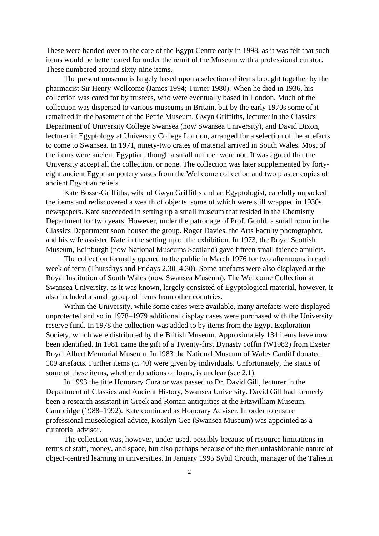These were handed over to the care of the Egypt Centre early in 1998, as it was felt that such items would be better cared for under the remit of the Museum with a professional curator. These numbered around sixty-nine items.

The present museum is largely based upon a selection of items brought together by the pharmacist Sir Henry Wellcome (James 1994; Turner 1980). When he died in 1936, his collection was cared for by trustees, who were eventually based in London. Much of the collection was dispersed to various museums in Britain, but by the early 1970s some of it remained in the basement of the Petrie Museum. Gwyn Griffiths, lecturer in the Classics Department of University College Swansea (now Swansea University), and David Dixon, lecturer in Egyptology at University College London, arranged for a selection of the artefacts to come to Swansea. In 1971, ninety-two crates of material arrived in South Wales. Most of the items were ancient Egyptian, though a small number were not. It was agreed that the University accept all the collection, or none. The collection was later supplemented by fortyeight ancient Egyptian pottery vases from the Wellcome collection and two plaster copies of ancient Egyptian reliefs.

Kate Bosse-Griffiths, wife of Gwyn Griffiths and an Egyptologist, carefully unpacked the items and rediscovered a wealth of objects, some of which were still wrapped in 1930s newspapers. Kate succeeded in setting up a small museum that resided in the Chemistry Department for two years. However, under the patronage of Prof. Gould, a small room in the Classics Department soon housed the group. Roger Davies, the Arts Faculty photographer, and his wife assisted Kate in the setting up of the exhibition. In 1973, the Royal Scottish Museum, Edinburgh (now National Museums Scotland) gave fifteen small faience amulets.

The collection formally opened to the public in March 1976 for two afternoons in each week of term (Thursdays and Fridays 2.30–4.30). Some artefacts were also displayed at the Royal Institution of South Wales (now Swansea Museum). The Wellcome Collection at Swansea University, as it was known, largely consisted of Egyptological material, however, it also included a small group of items from other countries.

Within the University, while some cases were available, many artefacts were displayed unprotected and so in 1978–1979 additional display cases were purchased with the University reserve fund. In 1978 the collection was added to by items from the Egypt Exploration Society, which were distributed by the British Museum. Approximately 134 items have now been identified. In 1981 came the gift of a Twenty-first Dynasty coffin (W1982) from Exeter Royal Albert Memorial Museum. In 1983 the National Museum of Wales Cardiff donated 109 artefacts. Further items (c. 40) were given by individuals. Unfortunately, the status of some of these items, whether donations or loans, is unclear (see 2.1).

In 1993 the title Honorary Curator was passed to Dr. David Gill, lecturer in the Department of Classics and Ancient History, Swansea University. David Gill had formerly been a research assistant in Greek and Roman antiquities at the Fitzwilliam Museum, Cambridge (1988–1992). Kate continued as Honorary Adviser. In order to ensure professional museological advice, Rosalyn Gee (Swansea Museum) was appointed as a curatorial advisor.

The collection was, however, under-used, possibly because of resource limitations in terms of staff, money, and space, but also perhaps because of the then unfashionable nature of object-centred learning in universities. In January 1995 Sybil Crouch, manager of the Taliesin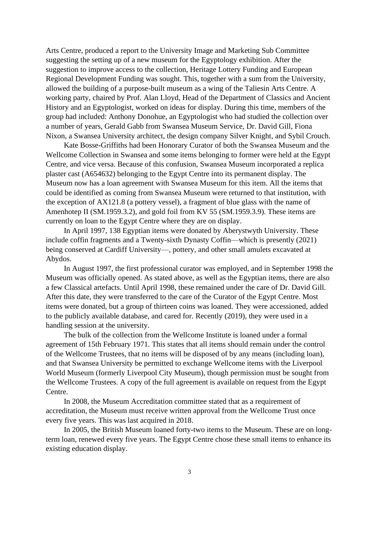Arts Centre, produced a report to the University Image and Marketing Sub Committee suggesting the setting up of a new museum for the Egyptology exhibition. After the suggestion to improve access to the collection, Heritage Lottery Funding and European Regional Development Funding was sought. This, together with a sum from the University, allowed the building of a purpose-built museum as a wing of the Taliesin Arts Centre. A working party, chaired by Prof. Alan Lloyd, Head of the Department of Classics and Ancient History and an Egyptologist, worked on ideas for display. During this time, members of the group had included: Anthony Donohue, an Egyptologist who had studied the collection over a number of years, Gerald Gabb from Swansea Museum Service, Dr. David Gill, Fiona Nixon, a Swansea University architect, the design company Silver Knight, and Sybil Crouch.

Kate Bosse-Griffiths had been Honorary Curator of both the Swansea Museum and the Wellcome Collection in Swansea and some items belonging to former were held at the Egypt Centre, and vice versa. Because of this confusion, Swansea Museum incorporated a replica plaster cast (A654632) belonging to the Egypt Centre into its permanent display. The Museum now has a loan agreement with Swansea Museum for this item. All the items that could be identified as coming from Swansea Museum were returned to that institution, with the exception of AX121.8 (a pottery vessel), a fragment of blue glass with the name of Amenhotep II (SM.1959.3.2), and gold foil from KV 55 (SM.1959.3.9). These items are currently on loan to the Egypt Centre where they are on display.

In April 1997, 138 Egyptian items were donated by Aberystwyth University. These include coffin fragments and a Twenty-sixth Dynasty Coffin—which is presently (2021) being conserved at Cardiff University—, pottery, and other small amulets excavated at Abydos.

In August 1997, the first professional curator was employed, and in September 1998 the Museum was officially opened. As stated above, as well as the Egyptian items, there are also a few Classical artefacts. Until April 1998, these remained under the care of Dr. David Gill. After this date, they were transferred to the care of the Curator of the Egypt Centre. Most items were donated, but a group of thirteen coins was loaned. They were accessioned, added to the publicly available database, and cared for. Recently (2019), they were used in a handling session at the university.

The bulk of the collection from the Wellcome Institute is loaned under a formal agreement of 15th February 1971. This states that all items should remain under the control of the Wellcome Trustees, that no items will be disposed of by any means (including loan), and that Swansea University be permitted to exchange Wellcome items with the Liverpool World Museum (formerly Liverpool City Museum), though permission must be sought from the Wellcome Trustees. A copy of the full agreement is available on request from the Egypt Centre.

In 2008, the Museum Accreditation committee stated that as a requirement of accreditation, the Museum must receive written approval from the Wellcome Trust once every five years. This was last acquired in 2018.

In 2005, the British Museum loaned forty-two items to the Museum. These are on longterm loan, renewed every five years. The Egypt Centre chose these small items to enhance its existing education display.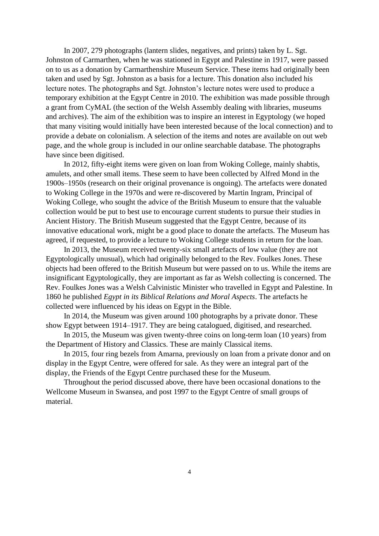In 2007, 279 photographs (lantern slides, negatives, and prints) taken by L. Sgt. Johnston of Carmarthen, when he was stationed in Egypt and Palestine in 1917, were passed on to us as a donation by Carmarthenshire Museum Service. These items had originally been taken and used by Sgt. Johnston as a basis for a lecture. This donation also included his lecture notes. The photographs and Sgt. Johnston's lecture notes were used to produce a temporary exhibition at the Egypt Centre in 2010. The exhibition was made possible through a grant from CyMAL (the section of the Welsh Assembly dealing with libraries, museums and archives). The aim of the exhibition was to inspire an interest in Egyptology (we hoped that many visiting would initially have been interested because of the local connection) and to provide a debate on colonialism. A selection of the items and notes are available on out web page, and the whole group is included in our online searchable database. The photographs have since been digitised.

In 2012, fifty-eight items were given on loan from Woking College, mainly shabtis, amulets, and other small items. These seem to have been collected by Alfred Mond in the 1900s–1950s (research on their original provenance is ongoing). The artefacts were donated to Woking College in the 1970s and were re-discovered by Martin Ingram, Principal of Woking College, who sought the advice of the British Museum to ensure that the valuable collection would be put to best use to encourage current students to pursue their studies in Ancient History. The British Museum suggested that the Egypt Centre, because of its innovative educational work, might be a good place to donate the artefacts. The Museum has agreed, if requested, to provide a lecture to Woking College students in return for the loan.

In 2013, the Museum received twenty-six small artefacts of low value (they are not Egyptologically unusual), which had originally belonged to the Rev. Foulkes Jones. These objects had been offered to the British Museum but were passed on to us. While the items are insignificant Egyptologically, they are important as far as Welsh collecting is concerned. The Rev. Foulkes Jones was a Welsh Calvinistic Minister who travelled in Egypt and Palestine. In 1860 he published *Egypt in its Biblical Relations and Moral Aspects*. The artefacts he collected were influenced by his ideas on Egypt in the Bible.

In 2014, the Museum was given around 100 photographs by a private donor. These show Egypt between 1914–1917. They are being catalogued, digitised, and researched.

In 2015, the Museum was given twenty-three coins on long-term loan (10 years) from the Department of History and Classics. These are mainly Classical items.

In 2015, four ring bezels from Amarna, previously on loan from a private donor and on display in the Egypt Centre, were offered for sale. As they were an integral part of the display, the Friends of the Egypt Centre purchased these for the Museum.

Throughout the period discussed above, there have been occasional donations to the Wellcome Museum in Swansea, and post 1997 to the Egypt Centre of small groups of material.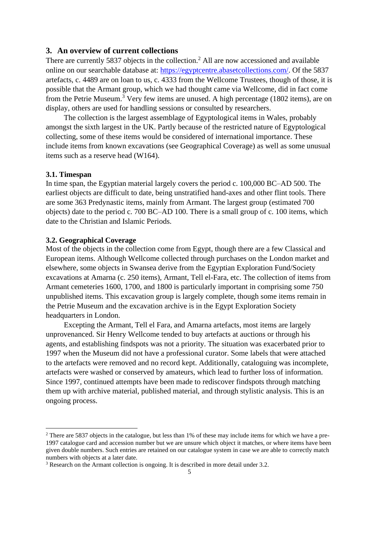# **3. An overview of current collections**

There are currently 5837 objects in the collection.<sup>2</sup> All are now accessioned and available online on our searchable database at: [https://egyptcentre.abasetcollections.com/.](https://egyptcentre.abasetcollections.com/) Of the 5837 artefacts, c. 4489 are on loan to us, c. 4333 from the Wellcome Trustees, though of those, it is possible that the Armant group, which we had thought came via Wellcome, did in fact come from the Petrie Museum.<sup>3</sup> Very few items are unused. A high percentage (1802 items), are on display, others are used for handling sessions or consulted by researchers.

The collection is the largest assemblage of Egyptological items in Wales, probably amongst the sixth largest in the UK. Partly because of the restricted nature of Egyptological collecting, some of these items would be considered of international importance. These include items from known excavations (see Geographical Coverage) as well as some unusual items such as a reserve head (W164).

#### **3.1. Timespan**

In time span, the Egyptian material largely covers the period c. 100,000 BC–AD 500. The earliest objects are difficult to date, being unstratified hand-axes and other flint tools. There are some 363 Predynastic items, mainly from Armant. The largest group (estimated 700 objects) date to the period c. 700 BC–AD 100. There is a small group of c. 100 items, which date to the Christian and Islamic Periods.

## **3.2. Geographical Coverage**

Most of the objects in the collection come from Egypt, though there are a few Classical and European items. Although Wellcome collected through purchases on the London market and elsewhere, some objects in Swansea derive from the Egyptian Exploration Fund/Society excavations at Amarna (c. 250 items), Armant, Tell el-Fara, etc. The collection of items from Armant cemeteries 1600, 1700, and 1800 is particularly important in comprising some 750 unpublished items. This excavation group is largely complete, though some items remain in the Petrie Museum and the excavation archive is in the Egypt Exploration Society headquarters in London.

Excepting the Armant, Tell el Fara, and Amarna artefacts, most items are largely unprovenanced. Sir Henry Wellcome tended to buy artefacts at auctions or through his agents, and establishing findspots was not a priority. The situation was exacerbated prior to 1997 when the Museum did not have a professional curator. Some labels that were attached to the artefacts were removed and no record kept. Additionally, cataloguing was incomplete, artefacts were washed or conserved by amateurs, which lead to further loss of information. Since 1997, continued attempts have been made to rediscover findspots through matching them up with archive material, published material, and through stylistic analysis. This is an ongoing process.

<sup>&</sup>lt;sup>2</sup> There are 5837 objects in the catalogue, but less than 1% of these may include items for which we have a pre-1997 catalogue card and accession number but we are unsure which object it matches, or where items have been given double numbers. Such entries are retained on our catalogue system in case we are able to correctly match numbers with objects at a later date.

<sup>&</sup>lt;sup>3</sup> Research on the Armant collection is ongoing. It is described in more detail under 3.2.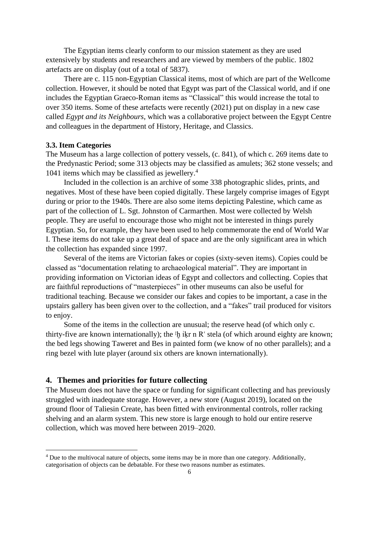The Egyptian items clearly conform to our mission statement as they are used extensively by students and researchers and are viewed by members of the public. 1802 artefacts are on display (out of a total of 5837).

There are c. 115 non-Egyptian Classical items, most of which are part of the Wellcome collection. However, it should be noted that Egypt was part of the Classical world, and if one includes the Egyptian Graeco-Roman items as "Classical" this would increase the total to over 350 items. Some of these artefacts were recently (2021) put on display in a new case called *Egypt and its Neighbours*, which was a collaborative project between the Egypt Centre and colleagues in the department of History, Heritage, and Classics.

#### **3.3. Item Categories**

The Museum has a large collection of pottery vessels, (c. 841), of which c. 269 items date to the Predynastic Period; some 313 objects may be classified as amulets; 362 stone vessels; and 1041 items which may be classified as jewellery.<sup>4</sup>

Included in the collection is an archive of some 338 photographic slides, prints, and negatives. Most of these have been copied digitally. These largely comprise images of Egypt during or prior to the 1940s. There are also some items depicting Palestine, which came as part of the collection of L. Sgt. Johnston of Carmarthen. Most were collected by Welsh people. They are useful to encourage those who might not be interested in things purely Egyptian. So, for example, they have been used to help commemorate the end of World War I. These items do not take up a great deal of space and are the only significant area in which the collection has expanded since 1997.

Several of the items are Victorian fakes or copies (sixty-seven items). Copies could be classed as "documentation relating to archaeological material". They are important in providing information on Victorian ideas of Egypt and collectors and collecting. Copies that are faithful reproductions of "masterpieces" in other museums can also be useful for traditional teaching. Because we consider our fakes and copies to be important, a case in the upstairs gallery has been given over to the collection, and a "fakes" trail produced for visitors to enjoy.

Some of the items in the collection are unusual; the reserve head (of which only c. thirty-five are known internationally); the <sup>3</sup>h i<sup>k</sup>r n R<sup>o</sup> stela (of which around eighty are known; the bed legs showing Taweret and Bes in painted form (we know of no other parallels); and a ring bezel with lute player (around six others are known internationally).

# **4. Themes and priorities for future collecting**

The Museum does not have the space or funding for significant collecting and has previously struggled with inadequate storage. However, a new store (August 2019), located on the ground floor of Taliesin Create, has been fitted with environmental controls, roller racking shelving and an alarm system. This new store is large enough to hold our entire reserve collection, which was moved here between 2019–2020.

<sup>4</sup> Due to the multivocal nature of objects, some items may be in more than one category. Additionally, categorisation of objects can be debatable. For these two reasons number as estimates.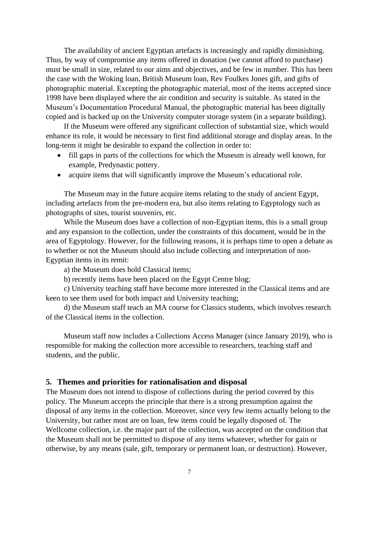The availability of ancient Egyptian artefacts is increasingly and rapidly diminishing. Thus, by way of compromise any items offered in donation (we cannot afford to purchase) must be small in size, related to our aims and objectives, and be few in number. This has been the case with the Woking loan, British Museum loan, Rev Foulkes Jones gift, and gifts of photographic material. Excepting the photographic material, most of the items accepted since 1998 have been displayed where the air condition and security is suitable. As stated in the Museum's Documentation Procedural Manual, the photographic material has been digitally copied and is backed up on the University computer storage system (in a separate building).

If the Museum were offered any significant collection of substantial size, which would enhance its role, it would be necessary to first find additional storage and display areas. In the long-term it might be desirable to expand the collection in order to:

- fill gaps in parts of the collections for which the Museum is already well known, for example, Predynastic pottery.
- acquire items that will significantly improve the Museum's educational role.

The Museum may in the future acquire items relating to the study of ancient Egypt, including artefacts from the pre-modern era, but also items relating to Egyptology such as photographs of sites, tourist souvenirs, etc.

While the Museum does have a collection of non-Egyptian items, this is a small group and any expansion to the collection, under the constraints of this document, would be in the area of Egyptology. However, for the following reasons, it is perhaps time to open a debate as to whether or not the Museum should also include collecting and interpretation of non-Egyptian items in its remit:

a) the Museum does hold Classical items;

b) recently items have been placed on the Egypt Centre blog;

c) University teaching staff have become more interested in the Classical items and are keen to see them used for both impact and University teaching;

d) the Museum staff teach an MA course for Classics students, which involves research of the Classical items in the collection.

Museum staff now includes a Collections Access Manager (since January 2019), who is responsible for making the collection more accessible to researchers, teaching staff and students, and the public.

#### **5. Themes and priorities for rationalisation and disposal**

The Museum does not intend to dispose of collections during the period covered by this policy. The Museum accepts the principle that there is a strong presumption against the disposal of any items in the collection. Moreover, since very few items actually belong to the University, but rather most are on loan, few items could be legally disposed of. The Wellcome collection, i.e. the major part of the collection, was accepted on the condition that the Museum shall not be permitted to dispose of any items whatever, whether for gain or otherwise, by any means (sale, gift, temporary or permanent loan, or destruction). However,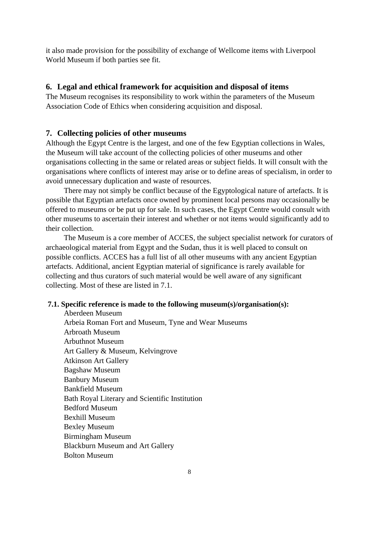it also made provision for the possibility of exchange of Wellcome items with Liverpool World Museum if both parties see fit.

# **6. Legal and ethical framework for acquisition and disposal of items**

The Museum recognises its responsibility to work within the parameters of the Museum Association Code of Ethics when considering acquisition and disposal.

#### **7. Collecting policies of other museums**

Although the Egypt Centre is the largest, and one of the few Egyptian collections in Wales, the Museum will take account of the collecting policies of other museums and other organisations collecting in the same or related areas or subject fields. It will consult with the organisations where conflicts of interest may arise or to define areas of specialism, in order to avoid unnecessary duplication and waste of resources.

There may not simply be conflict because of the Egyptological nature of artefacts. It is possible that Egyptian artefacts once owned by prominent local persons may occasionally be offered to museums or be put up for sale. In such cases, the Egypt Centre would consult with other museums to ascertain their interest and whether or not items would significantly add to their collection.

The Museum is a core member of ACCES, the subject specialist network for curators of archaeological material from Egypt and the Sudan, thus it is well placed to consult on possible conflicts. ACCES has a full list of all other museums with any ancient Egyptian artefacts. Additional, ancient Egyptian material of significance is rarely available for collecting and thus curators of such material would be well aware of any significant collecting. Most of these are listed in 7.1.

# **7.1. Specific reference is made to the following museum(s)/organisation(s):**

Aberdeen Museum Arbeia Roman Fort and Museum, Tyne and Wear Museums Arbroath Museum Arbuthnot Museum Art Gallery & Museum, Kelvingrove Atkinson Art Gallery Bagshaw Museum Banbury Museum Bankfield Museum Bath Royal Literary and Scientific Institution Bedford Museum Bexhill Museum Bexley Museum Birmingham Museum Blackburn Museum and Art Gallery Bolton Museum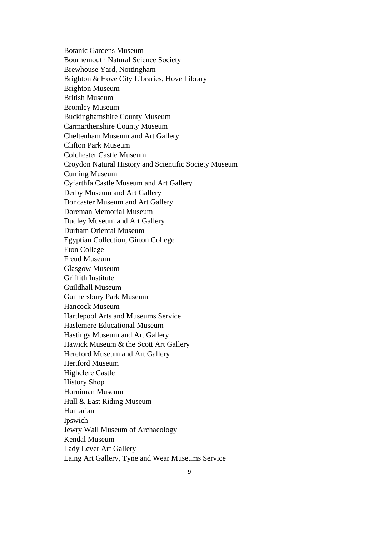Botanic Gardens Museum Bournemouth Natural Science Society Brewhouse Yard, Nottingham Brighton & Hove City Libraries, Hove Library Brighton Museum British Museum Bromley Museum Buckinghamshire County Museum Carmarthenshire County Museum Cheltenham Museum and Art Gallery Clifton Park Museum Colchester Castle Museum Croydon Natural History and Scientific Society Museum Cuming Museum Cyfarthfa Castle Museum and Art Gallery Derby Museum and Art Gallery Doncaster Museum and Art Gallery Doreman Memorial Museum Dudley Museum and Art Gallery Durham Oriental Museum Egyptian Collection, Girton College Eton College Freud Museum Glasgow Museum Griffith Institute Guildhall Museum Gunnersbury Park Museum Hancock Museum Hartlepool Arts and Museums Service Haslemere Educational Museum Hastings Museum and Art Gallery Hawick Museum & the Scott Art Gallery Hereford Museum and Art Gallery Hertford Museum Highclere Castle History Shop Horniman Museum Hull & East Riding Museum Huntarian Ipswich Jewry Wall Museum of Archaeology Kendal Museum Lady Lever Art Gallery Laing Art Gallery, Tyne and Wear Museums Service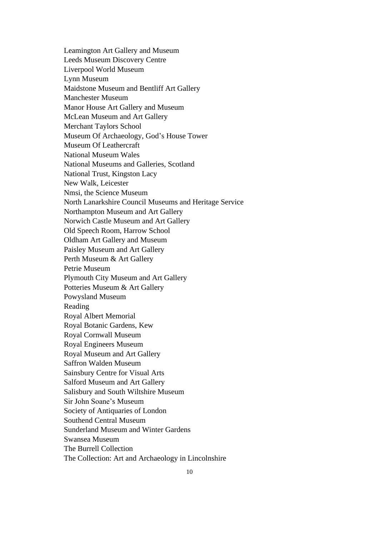Leamington Art Gallery and Museum Leeds Museum Discovery Centre Liverpool World Museum Lynn Museum Maidstone Museum and Bentliff Art Gallery Manchester Museum Manor House Art Gallery and Museum McLean Museum and Art Gallery Merchant Taylors School Museum Of Archaeology, God's House Tower Museum Of Leathercraft National Museum Wales National Museums and Galleries, Scotland National Trust, Kingston Lacy New Walk, Leicester Nmsi, the Science Museum North Lanarkshire Council Museums and Heritage Service Northampton Museum and Art Gallery Norwich Castle Museum and Art Gallery Old Speech Room, Harrow School Oldham Art Gallery and Museum Paisley Museum and Art Gallery Perth Museum & Art Gallery Petrie Museum Plymouth City Museum and Art Gallery Potteries Museum & Art Gallery Powysland Museum Reading Royal Albert Memorial Royal Botanic Gardens, Kew Royal Cornwall Museum Royal Engineers Museum Royal Museum and Art Gallery Saffron Walden Museum Sainsbury Centre for Visual Arts Salford Museum and Art Gallery Salisbury and South Wiltshire Museum Sir John Soane's Museum Society of Antiquaries of London Southend Central Museum Sunderland Museum and Winter Gardens Swansea Museum The Burrell Collection The Collection: Art and Archaeology in Lincolnshire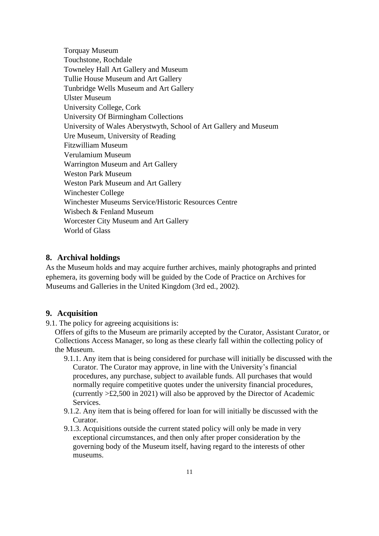Torquay Museum Touchstone, Rochdale Towneley Hall Art Gallery and Museum Tullie House Museum and Art Gallery Tunbridge Wells Museum and Art Gallery Ulster Museum University College, Cork University Of Birmingham Collections University of Wales Aberystwyth, School of Art Gallery and Museum Ure Museum, University of Reading Fitzwilliam Museum Verulamium Museum Warrington Museum and Art Gallery Weston Park Museum Weston Park Museum and Art Gallery Winchester College Winchester Museums Service/Historic Resources Centre Wisbech & Fenland Museum Worcester City Museum and Art Gallery World of Glass

# **8. Archival holdings**

As the Museum holds and may acquire further archives, mainly photographs and printed ephemera, its governing body will be guided by the Code of Practice on Archives for Museums and Galleries in the United Kingdom (3rd ed., 2002).

# **9. Acquisition**

9.1. The policy for agreeing acquisitions is:

Offers of gifts to the Museum are primarily accepted by the Curator, Assistant Curator, or Collections Access Manager, so long as these clearly fall within the collecting policy of the Museum.

- 9.1.1. Any item that is being considered for purchase will initially be discussed with the Curator. The Curator may approve, in line with the University's financial procedures, any purchase, subject to available funds. All purchases that would normally require competitive quotes under the university financial procedures, (currently >£2,500 in 2021) will also be approved by the Director of Academic **Services**.
- 9.1.2. Any item that is being offered for loan for will initially be discussed with the Curator.
- 9.1.3. Acquisitions outside the current stated policy will only be made in very exceptional circumstances, and then only after proper consideration by the governing body of the Museum itself, having regard to the interests of other museums.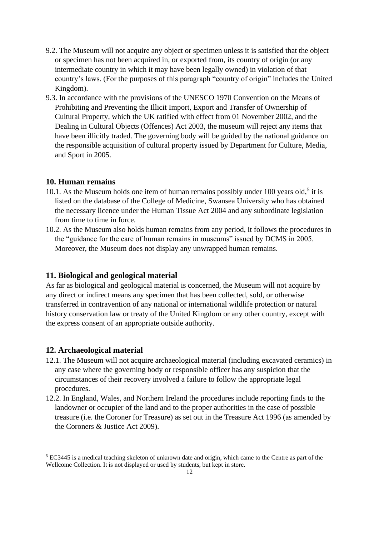- 9.2. The Museum will not acquire any object or specimen unless it is satisfied that the object or specimen has not been acquired in, or exported from, its country of origin (or any intermediate country in which it may have been legally owned) in violation of that country's laws. (For the purposes of this paragraph "country of origin" includes the United Kingdom).
- 9.3. In accordance with the provisions of the UNESCO 1970 Convention on the Means of Prohibiting and Preventing the Illicit Import, Export and Transfer of Ownership of Cultural Property, which the UK ratified with effect from 01 November 2002, and the Dealing in Cultural Objects (Offences) Act 2003, the museum will reject any items that have been illicitly traded. The governing body will be guided by the national guidance on the responsible acquisition of cultural property issued by Department for Culture, Media, and Sport in 2005.

# **10. Human remains**

- 10.1. As the Museum holds one item of human remains possibly under 100 years old,<sup>5</sup> it is listed on the database of the College of Medicine, Swansea University who has obtained the necessary licence under the Human Tissue Act 2004 and any subordinate legislation from time to time in force.
- 10.2. As the Museum also holds human remains from any period, it follows the procedures in the "guidance for the care of human remains in museums" issued by DCMS in 2005. Moreover, the Museum does not display any unwrapped human remains.

# **11. Biological and geological material**

As far as biological and geological material is concerned, the Museum will not acquire by any direct or indirect means any specimen that has been collected, sold, or otherwise transferred in contravention of any national or international wildlife protection or natural history conservation law or treaty of the United Kingdom or any other country, except with the express consent of an appropriate outside authority.

#### **12. Archaeological material**

- 12.1. The Museum will not acquire archaeological material (including excavated ceramics) in any case where the governing body or responsible officer has any suspicion that the circumstances of their recovery involved a failure to follow the appropriate legal procedures.
- 12.2. In England, Wales, and Northern Ireland the procedures include reporting finds to the landowner or occupier of the land and to the proper authorities in the case of possible treasure (i.e. the Coroner for Treasure) as set out in the Treasure Act 1996 (as amended by the Coroners & Justice Act 2009).

<sup>5</sup> EC3445 is a medical teaching skeleton of unknown date and origin, which came to the Centre as part of the Wellcome Collection. It is not displayed or used by students, but kept in store.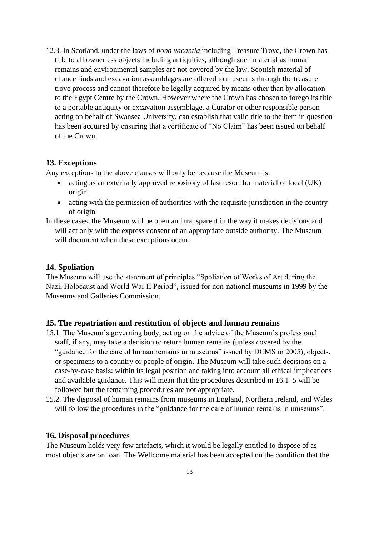12.3. In Scotland, under the laws of *bona vacantia* including Treasure Trove, the Crown has title to all ownerless objects including antiquities, although such material as human remains and environmental samples are not covered by the law. Scottish material of chance finds and excavation assemblages are offered to museums through the treasure trove process and cannot therefore be legally acquired by means other than by allocation to the Egypt Centre by the Crown. However where the Crown has chosen to forego its title to a portable antiquity or excavation assemblage, a Curator or other responsible person acting on behalf of Swansea University, can establish that valid title to the item in question has been acquired by ensuring that a certificate of "No Claim" has been issued on behalf of the Crown.

## **13. Exceptions**

Any exceptions to the above clauses will only be because the Museum is:

- acting as an externally approved repository of last resort for material of local (UK) origin.
- acting with the permission of authorities with the requisite jurisdiction in the country of origin

In these cases, the Museum will be open and transparent in the way it makes decisions and

will act only with the express consent of an appropriate outside authority. The Museum will document when these exceptions occur.

## **14. Spoliation**

The Museum will use the statement of principles "Spoliation of Works of Art during the Nazi, Holocaust and World War II Period", issued for non-national museums in 1999 by the Museums and Galleries Commission.

#### **15. The repatriation and restitution of objects and human remains**

- 15.1. The Museum's governing body, acting on the advice of the Museum's professional staff, if any, may take a decision to return human remains (unless covered by the "guidance for the care of human remains in museums" issued by DCMS in 2005), objects, or specimens to a country or people of origin. The Museum will take such decisions on a case-by-case basis; within its legal position and taking into account all ethical implications and available guidance. This will mean that the procedures described in 16.1–5 will be followed but the remaining procedures are not appropriate.
- 15.2. The disposal of human remains from museums in England, Northern Ireland, and Wales will follow the procedures in the "guidance for the care of human remains in museums".

#### **16. Disposal procedures**

The Museum holds very few artefacts, which it would be legally entitled to dispose of as most objects are on loan. The Wellcome material has been accepted on the condition that the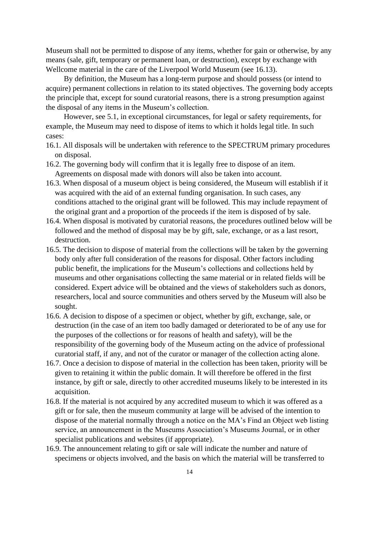Museum shall not be permitted to dispose of any items, whether for gain or otherwise, by any means (sale, gift, temporary or permanent loan, or destruction), except by exchange with Wellcome material in the care of the Liverpool World Museum (see 16.13).

By definition, the Museum has a long-term purpose and should possess (or intend to acquire) permanent collections in relation to its stated objectives. The governing body accepts the principle that, except for sound curatorial reasons, there is a strong presumption against the disposal of any items in the Museum's collection.

However, see 5.1, in exceptional circumstances, for legal or safety requirements, for example, the Museum may need to dispose of items to which it holds legal title. In such cases:

- 16.1. All disposals will be undertaken with reference to the SPECTRUM primary procedures on disposal.
- 16.2. The governing body will confirm that it is legally free to dispose of an item. Agreements on disposal made with donors will also be taken into account.
- 16.3. When disposal of a museum object is being considered, the Museum will establish if it was acquired with the aid of an external funding organisation. In such cases, any conditions attached to the original grant will be followed. This may include repayment of the original grant and a proportion of the proceeds if the item is disposed of by sale.
- 16.4. When disposal is motivated by curatorial reasons, the procedures outlined below will be followed and the method of disposal may be by gift, sale, exchange, or as a last resort, destruction.
- 16.5. The decision to dispose of material from the collections will be taken by the governing body only after full consideration of the reasons for disposal. Other factors including public benefit, the implications for the Museum's collections and collections held by museums and other organisations collecting the same material or in related fields will be considered. Expert advice will be obtained and the views of stakeholders such as donors, researchers, local and source communities and others served by the Museum will also be sought.
- 16.6. A decision to dispose of a specimen or object, whether by gift, exchange, sale, or destruction (in the case of an item too badly damaged or deteriorated to be of any use for the purposes of the collections or for reasons of health and safety), will be the responsibility of the governing body of the Museum acting on the advice of professional curatorial staff, if any, and not of the curator or manager of the collection acting alone.
- 16.7. Once a decision to dispose of material in the collection has been taken, priority will be given to retaining it within the public domain. It will therefore be offered in the first instance, by gift or sale, directly to other accredited museums likely to be interested in its acquisition.
- 16.8. If the material is not acquired by any accredited museum to which it was offered as a gift or for sale, then the museum community at large will be advised of the intention to dispose of the material normally through a notice on the MA's Find an Object web listing service, an announcement in the Museums Association's Museums Journal, or in other specialist publications and websites (if appropriate).
- 16.9. The announcement relating to gift or sale will indicate the number and nature of specimens or objects involved, and the basis on which the material will be transferred to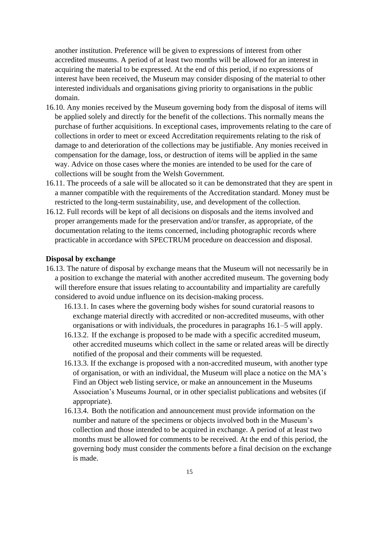another institution. Preference will be given to expressions of interest from other accredited museums. A period of at least two months will be allowed for an interest in acquiring the material to be expressed. At the end of this period, if no expressions of interest have been received, the Museum may consider disposing of the material to other interested individuals and organisations giving priority to organisations in the public domain.

- 16.10. Any monies received by the Museum governing body from the disposal of items will be applied solely and directly for the benefit of the collections. This normally means the purchase of further acquisitions. In exceptional cases, improvements relating to the care of collections in order to meet or exceed Accreditation requirements relating to the risk of damage to and deterioration of the collections may be justifiable. Any monies received in compensation for the damage, loss, or destruction of items will be applied in the same way. Advice on those cases where the monies are intended to be used for the care of collections will be sought from the Welsh Government.
- 16.11. The proceeds of a sale will be allocated so it can be demonstrated that they are spent in a manner compatible with the requirements of the Accreditation standard. Money must be restricted to the long-term sustainability, use, and development of the collection.
- 16.12. Full records will be kept of all decisions on disposals and the items involved and proper arrangements made for the preservation and/or transfer, as appropriate, of the documentation relating to the items concerned, including photographic records where practicable in accordance with SPECTRUM procedure on deaccession and disposal.

#### **Disposal by exchange**

- 16.13. The nature of disposal by exchange means that the Museum will not necessarily be in a position to exchange the material with another accredited museum. The governing body will therefore ensure that issues relating to accountability and impartiality are carefully considered to avoid undue influence on its decision-making process.
	- 16.13.1. In cases where the governing body wishes for sound curatorial reasons to exchange material directly with accredited or non-accredited museums, with other organisations or with individuals, the procedures in paragraphs 16.1–5 will apply.
	- 16.13.2. If the exchange is proposed to be made with a specific accredited museum, other accredited museums which collect in the same or related areas will be directly notified of the proposal and their comments will be requested.
	- 16.13.3. If the exchange is proposed with a non-accredited museum, with another type of organisation, or with an individual, the Museum will place a notice on the MA's Find an Object web listing service, or make an announcement in the Museums Association's Museums Journal, or in other specialist publications and websites (if appropriate).
	- 16.13.4. Both the notification and announcement must provide information on the number and nature of the specimens or objects involved both in the Museum's collection and those intended to be acquired in exchange. A period of at least two months must be allowed for comments to be received. At the end of this period, the governing body must consider the comments before a final decision on the exchange is made.